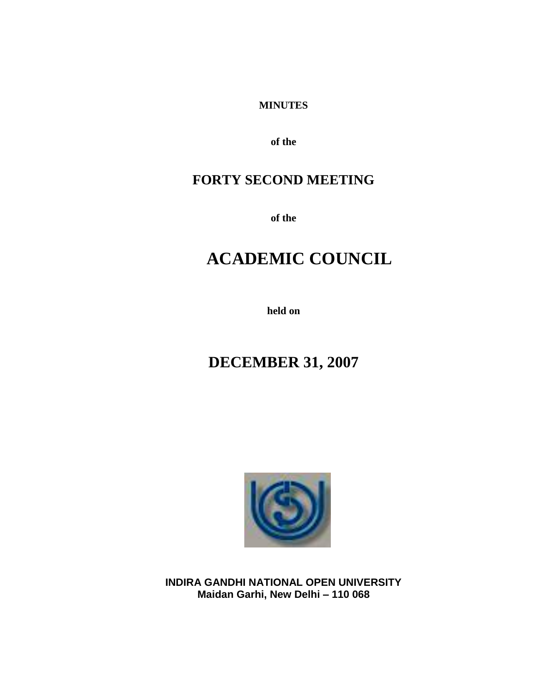#### **MINUTES**

**of the**

## **FORTY SECOND MEETING**

**of the**

# **ACADEMIC COUNCIL**

**held on**

# **DECEMBER 31, 2007**



**INDIRA GANDHI NATIONAL OPEN UNIVERSITY Maidan Garhi, New Delhi – 110 068**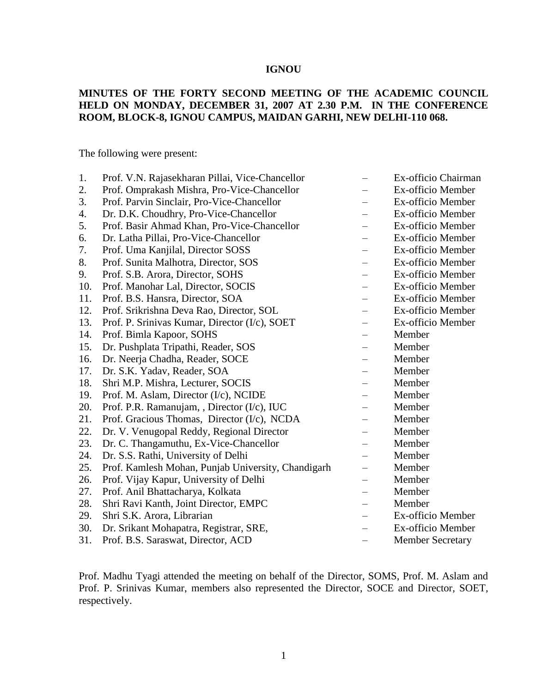#### **IGNOU**

#### **MINUTES OF THE FORTY SECOND MEETING OF THE ACADEMIC COUNCIL HELD ON MONDAY, DECEMBER 31, 2007 AT 2.30 P.M. IN THE CONFERENCE ROOM, BLOCK-8, IGNOU CAMPUS, MAIDAN GARHI, NEW DELHI-110 068.**

The following were present:

| 1.  | Prof. V.N. Rajasekharan Pillai, Vice-Chancellor    |                          | Ex-officio Chairman     |
|-----|----------------------------------------------------|--------------------------|-------------------------|
| 2.  | Prof. Omprakash Mishra, Pro-Vice-Chancellor        |                          | Ex-officio Member       |
| 3.  | Prof. Parvin Sinclair, Pro-Vice-Chancellor         |                          | Ex-officio Member       |
| 4.  | Dr. D.K. Choudhry, Pro-Vice-Chancellor             | $\equiv$                 | Ex-officio Member       |
| 5.  | Prof. Basir Ahmad Khan, Pro-Vice-Chancellor        | $\overline{\phantom{0}}$ | Ex-officio Member       |
| 6.  | Dr. Latha Pillai, Pro-Vice-Chancellor              |                          | Ex-officio Member       |
| 7.  | Prof. Uma Kanjilal, Director SOSS                  |                          | Ex-officio Member       |
| 8.  | Prof. Sunita Malhotra, Director, SOS               |                          | Ex-officio Member       |
| 9.  | Prof. S.B. Arora, Director, SOHS                   |                          | Ex-officio Member       |
| 10. | Prof. Manohar Lal, Director, SOCIS                 |                          | Ex-officio Member       |
| 11. | Prof. B.S. Hansra, Director, SOA                   |                          | Ex-officio Member       |
| 12. | Prof. Srikrishna Deva Rao, Director, SOL           |                          | Ex-officio Member       |
| 13. | Prof. P. Srinivas Kumar, Director (I/c), SOET      |                          | Ex-officio Member       |
| 14. | Prof. Bimla Kapoor, SOHS                           | $\overline{\phantom{0}}$ | Member                  |
| 15. | Dr. Pushplata Tripathi, Reader, SOS                |                          | Member                  |
| 16. | Dr. Neerja Chadha, Reader, SOCE                    |                          | Member                  |
| 17. | Dr. S.K. Yadav, Reader, SOA                        |                          | Member                  |
| 18. | Shri M.P. Mishra, Lecturer, SOCIS                  |                          | Member                  |
| 19. | Prof. M. Aslam, Director (I/c), NCIDE              |                          | Member                  |
| 20. | Prof. P.R. Ramanujam, , Director (I/c), IUC        |                          | Member                  |
| 21. | Prof. Gracious Thomas, Director (I/c), NCDA        |                          | Member                  |
| 22. | Dr. V. Venugopal Reddy, Regional Director          |                          | Member                  |
| 23. | Dr. C. Thangamuthu, Ex-Vice-Chancellor             | —                        | Member                  |
| 24. | Dr. S.S. Rathi, University of Delhi                |                          | Member                  |
| 25. | Prof. Kamlesh Mohan, Punjab University, Chandigarh |                          | Member                  |
| 26. | Prof. Vijay Kapur, University of Delhi             | —                        | Member                  |
| 27. | Prof. Anil Bhattacharya, Kolkata                   |                          | Member                  |
| 28. | Shri Ravi Kanth, Joint Director, EMPC              |                          | Member                  |
| 29. | Shri S.K. Arora, Librarian                         |                          | Ex-officio Member       |
| 30. | Dr. Srikant Mohapatra, Registrar, SRE,             |                          | Ex-officio Member       |
| 31. | Prof. B.S. Saraswat, Director, ACD                 |                          | <b>Member Secretary</b> |

Prof. Madhu Tyagi attended the meeting on behalf of the Director, SOMS, Prof. M. Aslam and Prof. P. Srinivas Kumar, members also represented the Director, SOCE and Director, SOET, respectively.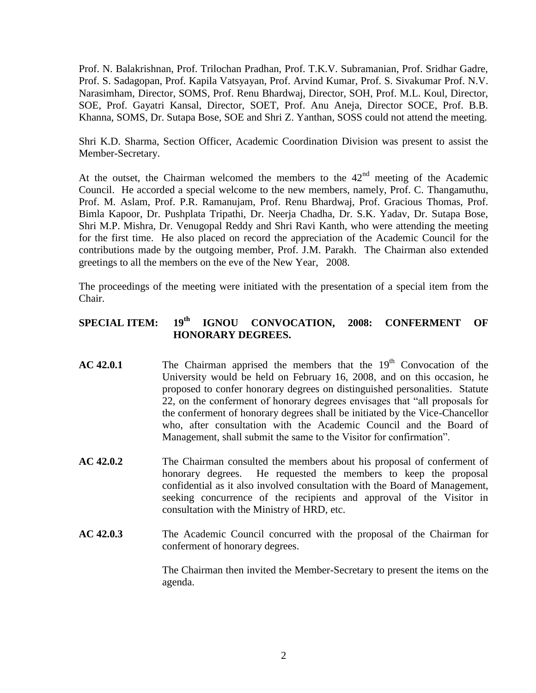Prof. N. Balakrishnan, Prof. Trilochan Pradhan, Prof. T.K.V. Subramanian, Prof. Sridhar Gadre, Prof. S. Sadagopan, Prof. Kapila Vatsyayan, Prof. Arvind Kumar, Prof. S. Sivakumar Prof. N.V. Narasimham, Director, SOMS, Prof. Renu Bhardwaj, Director, SOH, Prof. M.L. Koul, Director, SOE, Prof. Gayatri Kansal, Director, SOET, Prof. Anu Aneja, Director SOCE, Prof. B.B. Khanna, SOMS, Dr. Sutapa Bose, SOE and Shri Z. Yanthan, SOSS could not attend the meeting.

Shri K.D. Sharma, Section Officer, Academic Coordination Division was present to assist the Member-Secretary.

At the outset, the Chairman welcomed the members to the  $42<sup>nd</sup>$  meeting of the Academic Council. He accorded a special welcome to the new members, namely, Prof. C. Thangamuthu, Prof. M. Aslam, Prof. P.R. Ramanujam, Prof. Renu Bhardwaj, Prof. Gracious Thomas, Prof. Bimla Kapoor, Dr. Pushplata Tripathi, Dr. Neerja Chadha, Dr. S.K. Yadav, Dr. Sutapa Bose, Shri M.P. Mishra, Dr. Venugopal Reddy and Shri Ravi Kanth, who were attending the meeting for the first time. He also placed on record the appreciation of the Academic Council for the contributions made by the outgoing member, Prof. J.M. Parakh. The Chairman also extended greetings to all the members on the eve of the New Year, 2008.

The proceedings of the meeting were initiated with the presentation of a special item from the Chair.

## **SPECIAL ITEM: 19th IGNOU CONVOCATION, 2008: CONFERMENT OF HONORARY DEGREES.**

- **AC 42.0.1** The Chairman apprised the members that the 19<sup>th</sup> Convocation of the University would be held on February 16, 2008, and on this occasion, he proposed to confer honorary degrees on distinguished personalities. Statute 22, on the conferment of honorary degrees envisages that "all proposals for the conferment of honorary degrees shall be initiated by the Vice-Chancellor who, after consultation with the Academic Council and the Board of Management, shall submit the same to the Visitor for confirmation".
- **AC 42.0.2** The Chairman consulted the members about his proposal of conferment of honorary degrees. He requested the members to keep the proposal confidential as it also involved consultation with the Board of Management, seeking concurrence of the recipients and approval of the Visitor in consultation with the Ministry of HRD, etc.
- **AC 42.0.3** The Academic Council concurred with the proposal of the Chairman for conferment of honorary degrees.

The Chairman then invited the Member-Secretary to present the items on the agenda.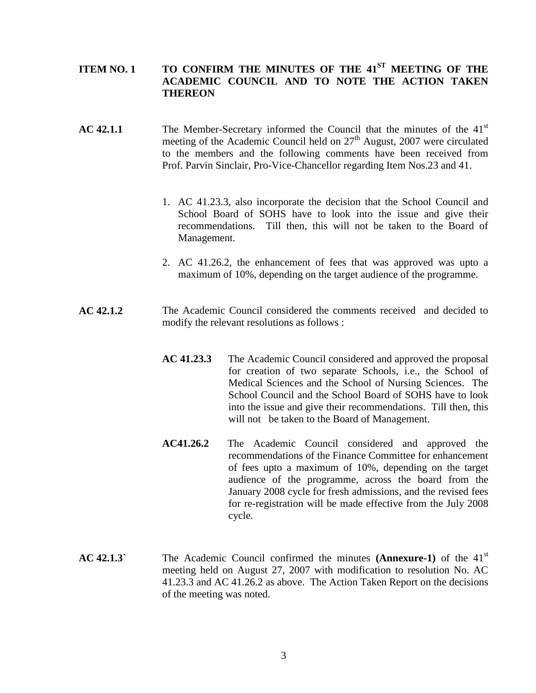### **ITEM NO. 1 TO CONFIRM THE MINUTES OF THE 41ST MEETING OF THE ACADEMIC COUNCIL AND TO NOTE THE ACTION TAKEN THEREON**

- **AC 42.1.1** The Member-Secretary informed the Council that the minutes of the 41<sup>st</sup> meeting of the Academic Council held on  $27<sup>th</sup>$  August, 2007 were circulated to the members and the following comments have been received from Prof. Parvin Sinclair, Pro-Vice-Chancellor regarding Item Nos.23 and 41.
	- 1. AC 41.23.3, also incorporate the decision that the School Council and School Board of SOHS have to look into the issue and give their recommendations. Till then, this will not be taken to the Board of Management.
	- 2. AC 41.26.2, the enhancement of fees that was approved was upto a maximum of 10%, depending on the target audience of the programme.
- **AC 42.1.2** The Academic Council considered the comments received and decided to modify the relevant resolutions as follows :
	- **AC 41.23.3** The Academic Council considered and approved the proposal for creation of two separate Schools, i.e., the School of Medical Sciences and the School of Nursing Sciences. The School Council and the School Board of SOHS have to look into the issue and give their recommendations. Till then, this will not be taken to the Board of Management.
	- **AC41.26.2** The Academic Council considered and approved the recommendations of the Finance Committee for enhancement of fees upto a maximum of 10%, depending on the target audience of the programme, across the board from the January 2008 cycle for fresh admissions, and the revised fees for re-registration will be made effective from the July 2008 cycle.
- **AC 42.1.3`** The Academic Council confirmed the minutes **(Annexure-1)** of the 41st meeting held on August 27, 2007 with modification to resolution No. AC 41.23.3 and AC 41.26.2 as above. The Action Taken Report on the decisions of the meeting was noted.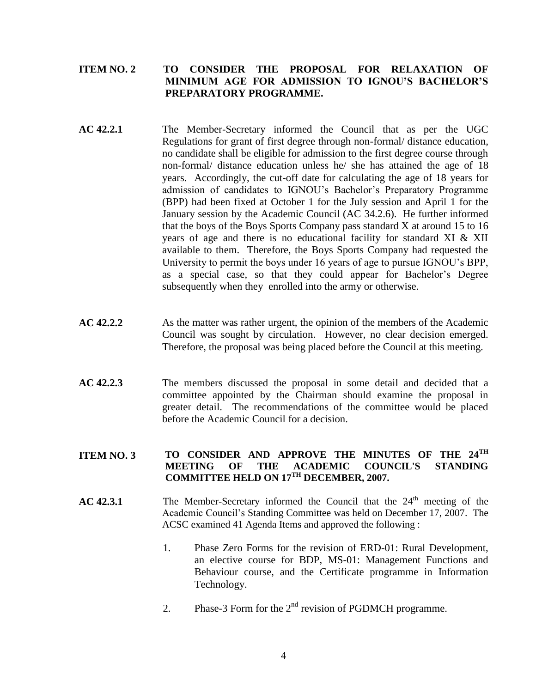#### **ITEM NO. 2 TO CONSIDER THE PROPOSAL FOR RELAXATION OF MINIMUM AGE FOR ADMISSION TO IGNOU'S BACHELOR'S PREPARATORY PROGRAMME.**

- **AC 42.2.1** The Member-Secretary informed the Council that as per the UGC Regulations for grant of first degree through non-formal/ distance education, no candidate shall be eligible for admission to the first degree course through non-formal/ distance education unless he/ she has attained the age of 18 years. Accordingly, the cut-off date for calculating the age of 18 years for admission of candidates to IGNOU's Bachelor's Preparatory Programme (BPP) had been fixed at October 1 for the July session and April 1 for the January session by the Academic Council (AC 34.2.6). He further informed that the boys of the Boys Sports Company pass standard X at around 15 to 16 years of age and there is no educational facility for standard XI & XII available to them. Therefore, the Boys Sports Company had requested the University to permit the boys under 16 years of age to pursue IGNOU's BPP, as a special case, so that they could appear for Bachelor's Degree subsequently when they enrolled into the army or otherwise.
- **AC 42.2.2** As the matter was rather urgent, the opinion of the members of the Academic Council was sought by circulation. However, no clear decision emerged. Therefore, the proposal was being placed before the Council at this meeting.
- **AC 42.2.3** The members discussed the proposal in some detail and decided that a committee appointed by the Chairman should examine the proposal in greater detail. The recommendations of the committee would be placed before the Academic Council for a decision.

#### **ITEM NO. 3 TO CONSIDER AND APPROVE THE MINUTES OF THE 24TH MEETING OF THE ACADEMIC COUNCIL'S STANDING COMMITTEE HELD ON 17TH DECEMBER, 2007.**

- $AC 42.3.1$  The Member-Secretary informed the Council that the  $24<sup>th</sup>$  meeting of the Academic Council's Standing Committee was held on December 17, 2007. The ACSC examined 41 Agenda Items and approved the following :
	- 1. Phase Zero Forms for the revision of ERD-01: Rural Development, an elective course for BDP, MS-01: Management Functions and Behaviour course, and the Certificate programme in Information Technology.
	- 2. Phase-3 Form for the  $2<sup>nd</sup>$  revision of PGDMCH programme.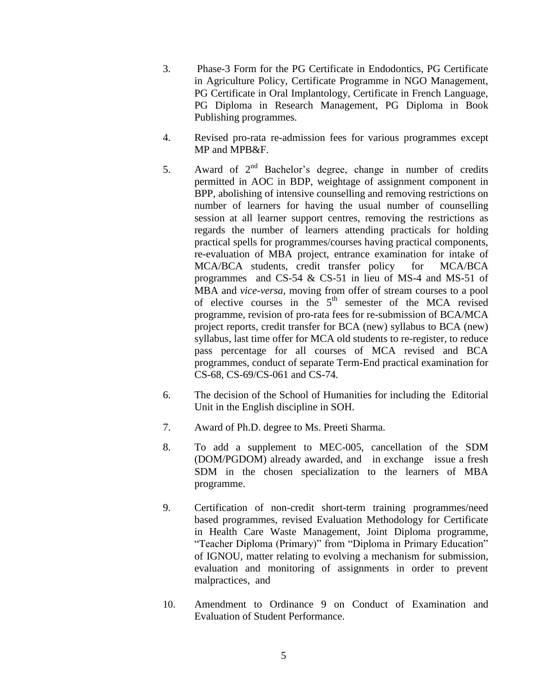- 3. Phase-3 Form for the PG Certificate in Endodontics, PG Certificate in Agriculture Policy, Certificate Programme in NGO Management, PG Certificate in Oral Implantology, Certificate in French Language, PG Diploma in Research Management, PG Diploma in Book Publishing programmes.
- 4. Revised pro-rata re-admission fees for various programmes except MP and MPB&F.
- 5. Award of  $2<sup>nd</sup>$  Bachelor's degree, change in number of credits permitted in AOC in BDP, weightage of assignment component in BPP, abolishing of intensive counselling and removing restrictions on number of learners for having the usual number of counselling session at all learner support centres, removing the restrictions as regards the number of learners attending practicals for holding practical spells for programmes/courses having practical components, re-evaluation of MBA project, entrance examination for intake of MCA/BCA students, credit transfer policy for MCA/BCA programmes and CS-54 & CS-51 in lieu of MS-4 and MS-51 of MBA and *vice-versa*, moving from offer of stream courses to a pool of elective courses in the  $5<sup>th</sup>$  semester of the MCA revised programme, revision of pro-rata fees for re-submission of BCA/MCA project reports, credit transfer for BCA (new) syllabus to BCA (new) syllabus, last time offer for MCA old students to re-register, to reduce pass percentage for all courses of MCA revised and BCA programmes, conduct of separate Term-End practical examination for CS-68, CS-69/CS-061 and CS-74.
- 6. The decision of the School of Humanities for including the Editorial Unit in the English discipline in SOH.
- 7. Award of Ph.D. degree to Ms. Preeti Sharma.
- 8. To add a supplement to MEC-005, cancellation of the SDM (DOM/PGDOM) already awarded, and in exchange issue a fresh SDM in the chosen specialization to the learners of MBA programme.
- 9. Certification of non-credit short-term training programmes/need based programmes, revised Evaluation Methodology for Certificate in Health Care Waste Management, Joint Diploma programme, "Teacher Diploma (Primary)" from "Diploma in Primary Education" of IGNOU, matter relating to evolving a mechanism for submission, evaluation and monitoring of assignments in order to prevent malpractices, and
- 10. Amendment to Ordinance 9 on Conduct of Examination and Evaluation of Student Performance.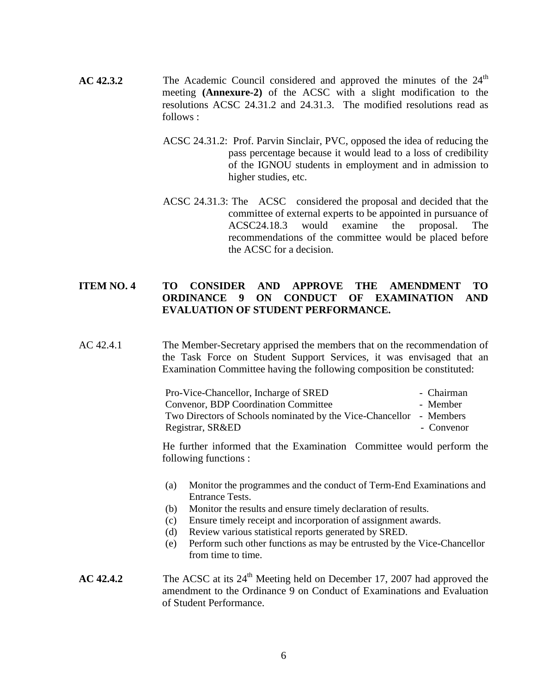- **AC 42.3.2** The Academic Council considered and approved the minutes of the 24<sup>th</sup> meeting **(Annexure-2)** of the ACSC with a slight modification to the resolutions ACSC 24.31.2 and 24.31.3. The modified resolutions read as follows :
	- ACSC 24.31.2: Prof. Parvin Sinclair, PVC, opposed the idea of reducing the pass percentage because it would lead to a loss of credibility of the IGNOU students in employment and in admission to higher studies, etc.
	- ACSC 24.31.3: The ACSC considered the proposal and decided that the committee of external experts to be appointed in pursuance of ACSC24.18.3 would examine the proposal. The recommendations of the committee would be placed before the ACSC for a decision.

#### **ITEM NO. 4 TO CONSIDER AND APPROVE THE AMENDMENT TO ORDINANCE 9 ON CONDUCT OF EXAMINATION AND EVALUATION OF STUDENT PERFORMANCE.**

AC 42.4.1 The Member-Secretary apprised the members that on the recommendation of the Task Force on Student Support Services, it was envisaged that an Examination Committee having the following composition be constituted:

| Pro-Vice-Chancellor, Incharge of SRED                               | - Chairman |
|---------------------------------------------------------------------|------------|
| <b>Convenor, BDP Coordination Committee</b>                         | - Member   |
| Two Directors of Schools nominated by the Vice-Chancellor - Members |            |
| Registrar, SR&ED                                                    | - Convenor |

He further informed that the Examination Committee would perform the following functions :

- (a) Monitor the programmes and the conduct of Term-End Examinations and Entrance Tests.
- (b) Monitor the results and ensure timely declaration of results.
- (c) Ensure timely receipt and incorporation of assignment awards.
- (d) Review various statistical reports generated by SRED.
- (e) Perform such other functions as may be entrusted by the Vice-Chancellor from time to time.

#### **AC 42.4.2** The ACSC at its 24<sup>th</sup> Meeting held on December 17, 2007 had approved the amendment to the Ordinance 9 on Conduct of Examinations and Evaluation of Student Performance.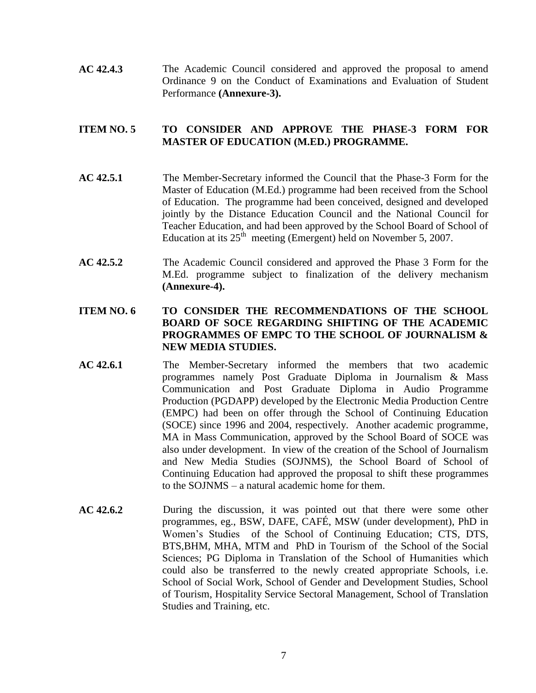**AC 42.4.3** The Academic Council considered and approved the proposal to amend Ordinance 9 on the Conduct of Examinations and Evaluation of Student Performance **(Annexure-3).**

#### **ITEM NO. 5 TO CONSIDER AND APPROVE THE PHASE-3 FORM FOR MASTER OF EDUCATION (M.ED.) PROGRAMME.**

- **AC 42.5.1** The Member-Secretary informed the Council that the Phase-3 Form for the Master of Education (M.Ed.) programme had been received from the School of Education. The programme had been conceived, designed and developed jointly by the Distance Education Council and the National Council for Teacher Education, and had been approved by the School Board of School of Education at its  $25<sup>th</sup>$  meeting (Emergent) held on November 5, 2007.
- **AC 42.5.2** The Academic Council considered and approved the Phase 3 Form for the M.Ed. programme subject to finalization of the delivery mechanism **(Annexure-4).**
- **ITEM NO. 6 TO CONSIDER THE RECOMMENDATIONS OF THE SCHOOL BOARD OF SOCE REGARDING SHIFTING OF THE ACADEMIC PROGRAMMES OF EMPC TO THE SCHOOL OF JOURNALISM & NEW MEDIA STUDIES.**
- **AC 42.6.1** The Member-Secretary informed the members that two academic programmes namely Post Graduate Diploma in Journalism & Mass Communication and Post Graduate Diploma in Audio Programme Production (PGDAPP) developed by the Electronic Media Production Centre (EMPC) had been on offer through the School of Continuing Education (SOCE) since 1996 and 2004, respectively. Another academic programme, MA in Mass Communication, approved by the School Board of SOCE was also under development. In view of the creation of the School of Journalism and New Media Studies (SOJNMS), the School Board of School of Continuing Education had approved the proposal to shift these programmes to the SOJNMS – a natural academic home for them.
- **AC 42.6.2** During the discussion, it was pointed out that there were some other programmes, eg., BSW, DAFE, CAFÉ, MSW (under development), PhD in Women's Studies of the School of Continuing Education; CTS, DTS, BTS,BHM, MHA, MTM and PhD in Tourism of the School of the Social Sciences; PG Diploma in Translation of the School of Humanities which could also be transferred to the newly created appropriate Schools, i.e. School of Social Work, School of Gender and Development Studies, School of Tourism, Hospitality Service Sectoral Management, School of Translation Studies and Training, etc.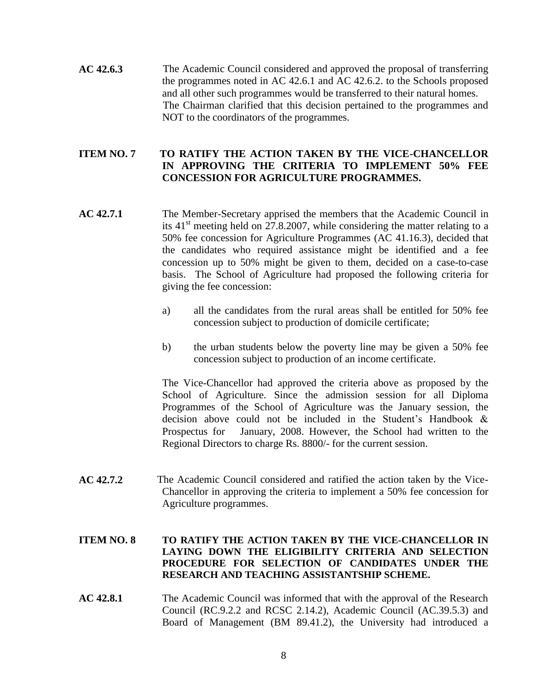**AC 42.6.3** The Academic Council considered and approved the proposal of transferring the programmes noted in AC 42.6.1 and AC 42.6.2. to the Schools proposed and all other such programmes would be transferred to their natural homes. The Chairman clarified that this decision pertained to the programmes and NOT to the coordinators of the programmes.

#### **ITEM NO. 7 TO RATIFY THE ACTION TAKEN BY THE VICE-CHANCELLOR IN APPROVING THE CRITERIA TO IMPLEMENT 50% FEE CONCESSION FOR AGRICULTURE PROGRAMMES.**

- **AC 42.7.1** The Member-Secretary apprised the members that the Academic Council in its  $41<sup>st</sup>$  meeting held on 27.8.2007, while considering the matter relating to a 50% fee concession for Agriculture Programmes (AC 41.16.3), decided that the candidates who required assistance might be identified and a fee concession up to 50% might be given to them, decided on a case-to-case basis. The School of Agriculture had proposed the following criteria for giving the fee concession:
	- a) all the candidates from the rural areas shall be entitled for 50% fee concession subject to production of domicile certificate;
	- b) the urban students below the poverty line may be given a 50% fee concession subject to production of an income certificate.

The Vice-Chancellor had approved the criteria above as proposed by the School of Agriculture. Since the admission session for all Diploma Programmes of the School of Agriculture was the January session, the decision above could not be included in the Student's Handbook & Prospectus for January, 2008. However, the School had written to the Regional Directors to charge Rs. 8800/- for the current session.

**AC 42.7.2** The Academic Council considered and ratified the action taken by the Vice-Chancellor in approving the criteria to implement a 50% fee concession for Agriculture programmes.

#### **ITEM NO. 8 TO RATIFY THE ACTION TAKEN BY THE VICE-CHANCELLOR IN LAYING DOWN THE ELIGIBILITY CRITERIA AND SELECTION PROCEDURE FOR SELECTION OF CANDIDATES UNDER THE RESEARCH AND TEACHING ASSISTANTSHIP SCHEME.**

**AC 42.8.1** The Academic Council was informed that with the approval of the Research Council (RC.9.2.2 and RCSC 2.14.2), Academic Council (AC.39.5.3) and Board of Management (BM 89.41.2), the University had introduced a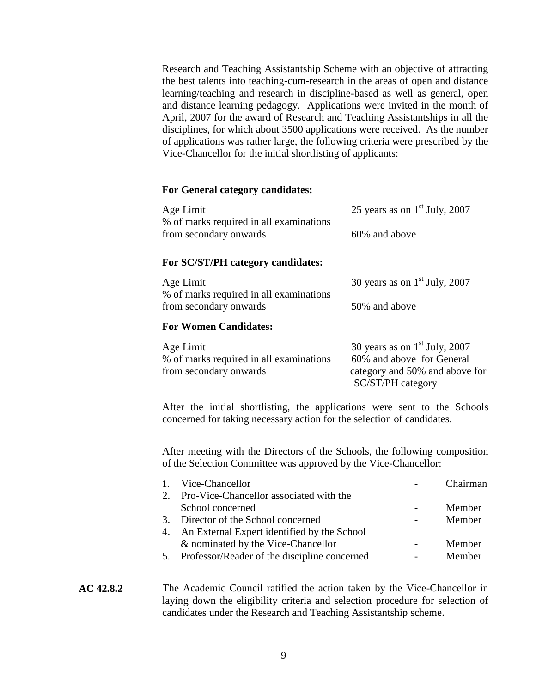Research and Teaching Assistantship Scheme with an objective of attracting the best talents into teaching-cum-research in the areas of open and distance learning/teaching and research in discipline-based as well as general, open and distance learning pedagogy. Applications were invited in the month of April, 2007 for the award of Research and Teaching Assistantships in all the disciplines, for which about 3500 applications were received. As the number of applications was rather large, the following criteria were prescribed by the Vice-Chancellor for the initial shortlisting of applicants:

#### **For General category candidates:**

| Age Limit<br>% of marks required in all examinations<br>from secondary onwards | 25 years as on $1st$ July, 2007<br>60% and above                                                                    |  |  |  |  |
|--------------------------------------------------------------------------------|---------------------------------------------------------------------------------------------------------------------|--|--|--|--|
| For SC/ST/PH category candidates:                                              |                                                                                                                     |  |  |  |  |
| Age Limit<br>% of marks required in all examinations                           | 30 years as on $1st$ July, 2007                                                                                     |  |  |  |  |
| from secondary onwards                                                         | 50% and above                                                                                                       |  |  |  |  |
| <b>For Women Candidates:</b>                                                   |                                                                                                                     |  |  |  |  |
| Age Limit<br>% of marks required in all examinations<br>from secondary onwards | 30 years as on $1st$ July, 2007<br>60% and above for General<br>category and 50% and above for<br>SC/ST/PH category |  |  |  |  |

After the initial shortlisting, the applications were sent to the Schools concerned for taking necessary action for the selection of candidates.

After meeting with the Directors of the Schools, the following composition of the Selection Committee was approved by the Vice-Chancellor:

| Vice-Chancellor                                 | Chairman |
|-------------------------------------------------|----------|
| 2. Pro-Vice-Chancellor associated with the      |          |
| School concerned                                | Member   |
| 3. Director of the School concerned             | Member   |
| 4. An External Expert identified by the School  |          |
| & nominated by the Vice-Chancellor              | Member   |
| 5. Professor/Reader of the discipline concerned | Member   |
|                                                 |          |

#### **AC 42.8.2** The Academic Council ratified the action taken by the Vice-Chancellor in laying down the eligibility criteria and selection procedure for selection of candidates under the Research and Teaching Assistantship scheme.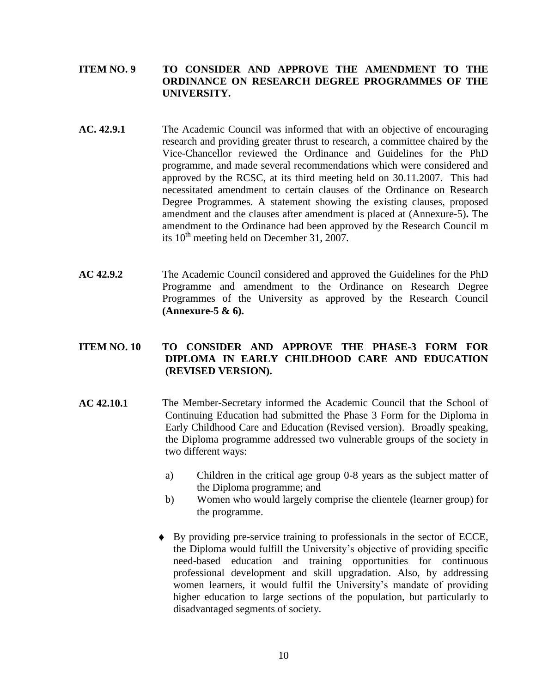#### **ITEM NO. 9 TO CONSIDER AND APPROVE THE AMENDMENT TO THE ORDINANCE ON RESEARCH DEGREE PROGRAMMES OF THE UNIVERSITY.**

- **AC. 42.9.1** The Academic Council was informed that with an objective of encouraging research and providing greater thrust to research, a committee chaired by the Vice-Chancellor reviewed the Ordinance and Guidelines for the PhD programme, and made several recommendations which were considered and approved by the RCSC, at its third meeting held on 30.11.2007. This had necessitated amendment to certain clauses of the Ordinance on Research Degree Programmes. A statement showing the existing clauses, proposed amendment and the clauses after amendment is placed at (Annexure-5)**.** The amendment to the Ordinance had been approved by the Research Council m its  $10^{th}$  meeting held on December 31, 2007.
- **AC 42.9.2** The Academic Council considered and approved the Guidelines for the PhD Programme and amendment to the Ordinance on Research Degree Programmes of the University as approved by the Research Council **(Annexure-5 & 6).**

#### **ITEM NO. 10 TO CONSIDER AND APPROVE THE PHASE-3 FORM FOR DIPLOMA IN EARLY CHILDHOOD CARE AND EDUCATION (REVISED VERSION).**

- **AC 42.10.1** The Member-Secretary informed the Academic Council that the School of Continuing Education had submitted the Phase 3 Form for the Diploma in Early Childhood Care and Education (Revised version). Broadly speaking, the Diploma programme addressed two vulnerable groups of the society in two different ways:
	- a) Children in the critical age group 0-8 years as the subject matter of the Diploma programme; and
	- b) Women who would largely comprise the clientele (learner group) for the programme.
	- By providing pre-service training to professionals in the sector of ECCE, the Diploma would fulfill the University's objective of providing specific need-based education and training opportunities for continuous professional development and skill upgradation. Also, by addressing women learners, it would fulfil the University's mandate of providing higher education to large sections of the population, but particularly to disadvantaged segments of society.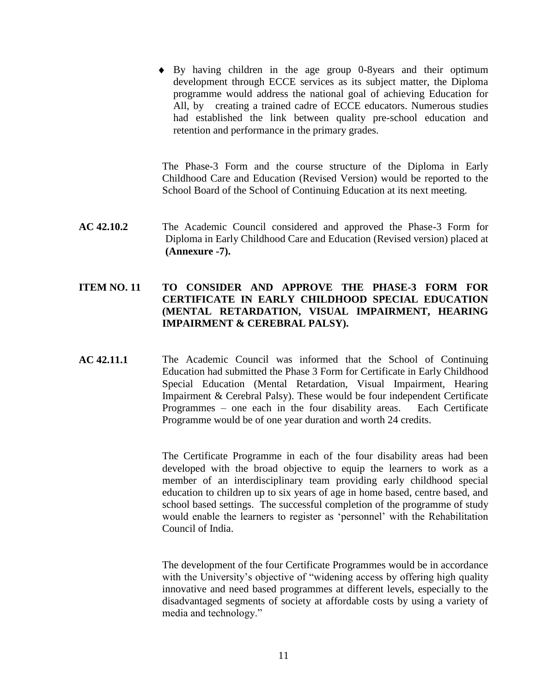By having children in the age group 0-8years and their optimum development through ECCE services as its subject matter, the Diploma programme would address the national goal of achieving Education for All, by creating a trained cadre of ECCE educators. Numerous studies had established the link between quality pre-school education and retention and performance in the primary grades.

The Phase-3 Form and the course structure of the Diploma in Early Childhood Care and Education (Revised Version) would be reported to the School Board of the School of Continuing Education at its next meeting.

**AC 42.10.2** The Academic Council considered and approved the Phase-3 Form for Diploma in Early Childhood Care and Education (Revised version) placed at **(Annexure -7).**

#### **ITEM NO. 11 TO CONSIDER AND APPROVE THE PHASE-3 FORM FOR CERTIFICATE IN EARLY CHILDHOOD SPECIAL EDUCATION (MENTAL RETARDATION, VISUAL IMPAIRMENT, HEARING IMPAIRMENT & CEREBRAL PALSY).**

**AC 42.11.1** The Academic Council was informed that the School of Continuing Education had submitted the Phase 3 Form for Certificate in Early Childhood Special Education (Mental Retardation, Visual Impairment, Hearing Impairment & Cerebral Palsy). These would be four independent Certificate Programmes – one each in the four disability areas. Each Certificate Programme would be of one year duration and worth 24 credits.

> The Certificate Programme in each of the four disability areas had been developed with the broad objective to equip the learners to work as a member of an interdisciplinary team providing early childhood special education to children up to six years of age in home based, centre based, and school based settings. The successful completion of the programme of study would enable the learners to register as 'personnel' with the Rehabilitation Council of India.

> The development of the four Certificate Programmes would be in accordance with the University's objective of "widening access by offering high quality innovative and need based programmes at different levels, especially to the disadvantaged segments of society at affordable costs by using a variety of media and technology."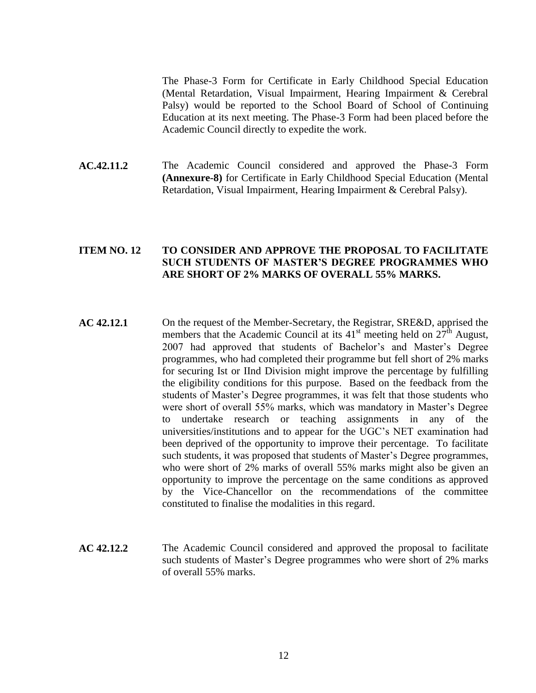The Phase-3 Form for Certificate in Early Childhood Special Education (Mental Retardation, Visual Impairment, Hearing Impairment & Cerebral Palsy) would be reported to the School Board of School of Continuing Education at its next meeting. The Phase-3 Form had been placed before the Academic Council directly to expedite the work.

**AC.42.11.2** The Academic Council considered and approved the Phase-3 Form **(Annexure-8)** for Certificate in Early Childhood Special Education (Mental Retardation, Visual Impairment, Hearing Impairment & Cerebral Palsy).

#### **ITEM NO. 12 TO CONSIDER AND APPROVE THE PROPOSAL TO FACILITATE SUCH STUDENTS OF MASTER'S DEGREE PROGRAMMES WHO ARE SHORT OF 2% MARKS OF OVERALL 55% MARKS.**

- **AC 42.12.1** On the request of the Member-Secretary, the Registrar, SRE&D, apprised the members that the Academic Council at its  $41<sup>st</sup>$  meeting held on  $27<sup>th</sup>$  August, 2007 had approved that students of Bachelor's and Master's Degree programmes, who had completed their programme but fell short of 2% marks for securing Ist or IInd Division might improve the percentage by fulfilling the eligibility conditions for this purpose. Based on the feedback from the students of Master's Degree programmes, it was felt that those students who were short of overall 55% marks, which was mandatory in Master's Degree to undertake research or teaching assignments in any of the universities/institutions and to appear for the UGC's NET examination had been deprived of the opportunity to improve their percentage. To facilitate such students, it was proposed that students of Master's Degree programmes, who were short of 2% marks of overall 55% marks might also be given an opportunity to improve the percentage on the same conditions as approved by the Vice-Chancellor on the recommendations of the committee constituted to finalise the modalities in this regard.
- **AC 42.12.2** The Academic Council considered and approved the proposal to facilitate such students of Master's Degree programmes who were short of 2% marks of overall 55% marks.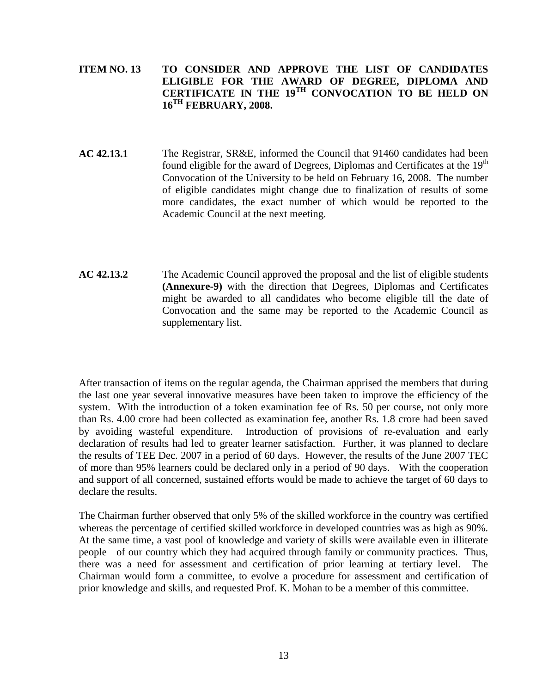#### **ITEM NO. 13 TO CONSIDER AND APPROVE THE LIST OF CANDIDATES ELIGIBLE FOR THE AWARD OF DEGREE, DIPLOMA AND CERTIFICATE IN THE 19TH CONVOCATION TO BE HELD ON 16TH FEBRUARY, 2008.**

- **AC 42.13.1** The Registrar, SR&E, informed the Council that 91460 candidates had been found eligible for the award of Degrees, Diplomas and Certificates at the 19<sup>th</sup> Convocation of the University to be held on February 16, 2008. The number of eligible candidates might change due to finalization of results of some more candidates, the exact number of which would be reported to the Academic Council at the next meeting.
- **AC 42.13.2** The Academic Council approved the proposal and the list of eligible students **(Annexure-9)** with the direction that Degrees, Diplomas and Certificates might be awarded to all candidates who become eligible till the date of Convocation and the same may be reported to the Academic Council as supplementary list.

After transaction of items on the regular agenda, the Chairman apprised the members that during the last one year several innovative measures have been taken to improve the efficiency of the system. With the introduction of a token examination fee of Rs. 50 per course, not only more than Rs. 4.00 crore had been collected as examination fee, another Rs. 1.8 crore had been saved by avoiding wasteful expenditure. Introduction of provisions of re-evaluation and early declaration of results had led to greater learner satisfaction. Further, it was planned to declare the results of TEE Dec. 2007 in a period of 60 days. However, the results of the June 2007 TEC of more than 95% learners could be declared only in a period of 90 days. With the cooperation and support of all concerned, sustained efforts would be made to achieve the target of 60 days to declare the results.

The Chairman further observed that only 5% of the skilled workforce in the country was certified whereas the percentage of certified skilled workforce in developed countries was as high as 90%. At the same time, a vast pool of knowledge and variety of skills were available even in illiterate people of our country which they had acquired through family or community practices. Thus, there was a need for assessment and certification of prior learning at tertiary level. The Chairman would form a committee, to evolve a procedure for assessment and certification of prior knowledge and skills, and requested Prof. K. Mohan to be a member of this committee.